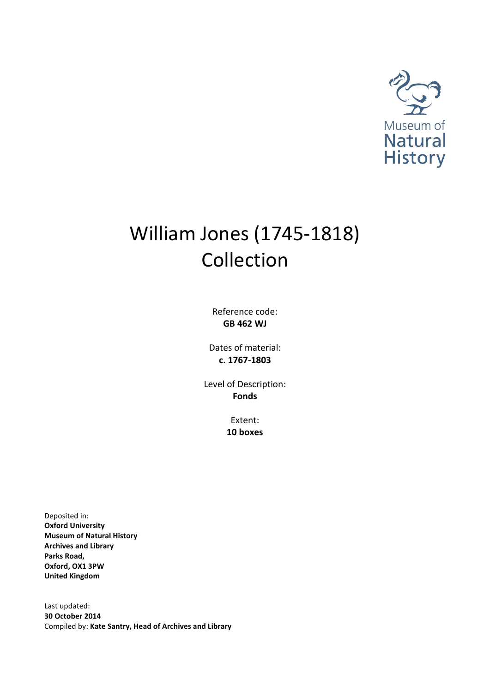

# William Jones (1745-1818) Collection

Reference code: **GB 462 WJ**

Dates of material: **c. 1767-1803**

Level of Description: **Fonds**

> Extent: **10 boxes**

Deposited in: **Oxford University Museum of Natural History Archives and Library Parks Road, Oxford, OX1 3PW United Kingdom**

Last updated: **30 October 2014** Compiled by: **Kate Santry, Head of Archives and Library**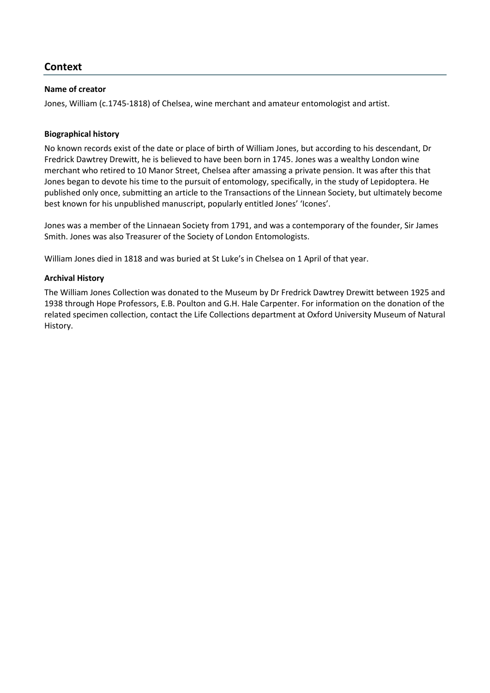# <span id="page-2-0"></span>**Context**

# <span id="page-2-1"></span>**Name of creator**

Jones, William (c.1745-1818) of Chelsea, wine merchant and amateur entomologist and artist.

# <span id="page-2-2"></span>**Biographical history**

No known records exist of the date or place of birth of William Jones, but according to his descendant, Dr Fredrick Dawtrey Drewitt, he is believed to have been born in 1745. Jones was a wealthy London wine merchant who retired to 10 Manor Street, Chelsea after amassing a private pension. It was after this that Jones began to devote his time to the pursuit of entomology, specifically, in the study of Lepidoptera. He published only once, submitting an article to the Transactions of the Linnean Society, but ultimately become best known for his unpublished manuscript, popularly entitled Jones' 'Icones'.

Jones was a member of the Linnaean Society from 1791, and was a contemporary of the founder, Sir James Smith. Jones was also Treasurer of the Society of London Entomologists.

William Jones died in 1818 and was buried at St Luke's in Chelsea on 1 April of that year.

# <span id="page-2-3"></span>**Archival History**

The William Jones Collection was donated to the Museum by Dr Fredrick Dawtrey Drewitt between 1925 and 1938 through Hope Professors, E.B. Poulton and G.H. Hale Carpenter. For information on the donation of the related specimen collection, contact the Life Collections department at Oxford University Museum of Natural History.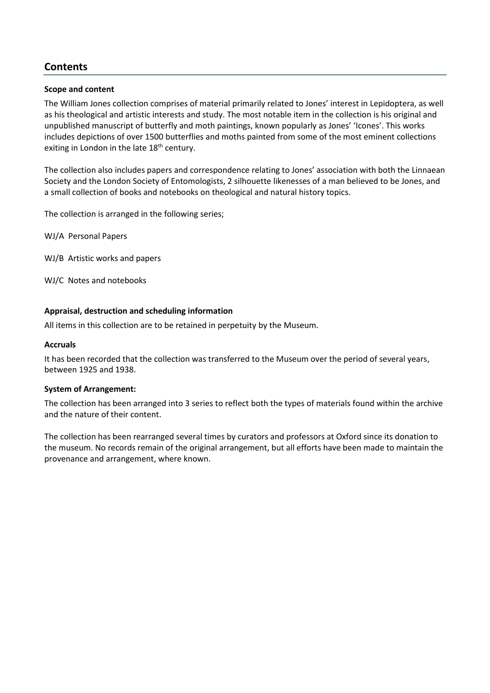# <span id="page-3-0"></span>**Contents**

# <span id="page-3-1"></span>**Scope and content**

The William Jones collection comprises of material primarily related to Jones' interest in Lepidoptera, as well as his theological and artistic interests and study. The most notable item in the collection is his original and unpublished manuscript of butterfly and moth paintings, known popularly as Jones' 'Icones'. This works includes depictions of over 1500 butterflies and moths painted from some of the most eminent collections exiting in London in the late  $18<sup>th</sup>$  century.

The collection also includes papers and correspondence relating to Jones' association with both the Linnaean Society and the London Society of Entomologists, 2 silhouette likenesses of a man believed to be Jones, and a small collection of books and notebooks on theological and natural history topics.

The collection is arranged in the following series;

WJ/A Personal Papers

WJ/B Artistic works and papers

WJ/C Notes and notebooks

# <span id="page-3-2"></span>**Appraisal, destruction and scheduling information**

All items in this collection are to be retained in perpetuity by the Museum.

# <span id="page-3-3"></span>**Accruals**

It has been recorded that the collection was transferred to the Museum over the period of several years, between 1925 and 1938.

# <span id="page-3-4"></span>**System of Arrangement:**

The collection has been arranged into 3 series to reflect both the types of materials found within the archive and the nature of their content.

The collection has been rearranged several times by curators and professors at Oxford since its donation to the museum. No records remain of the original arrangement, but all efforts have been made to maintain the provenance and arrangement, where known.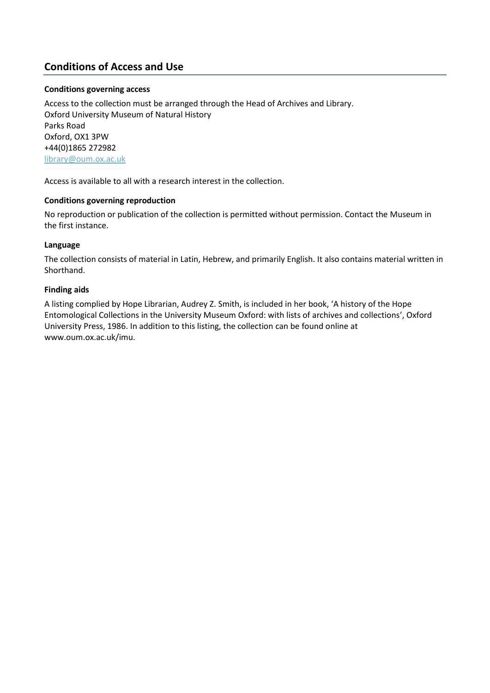# <span id="page-4-0"></span>**Conditions of Access and Use**

# <span id="page-4-1"></span>**Conditions governing access**

Access to the collection must be arranged through the Head of Archives and Library. Oxford University Museum of Natural History Parks Road Oxford, OX1 3PW +44(0)1865 272982 [library@oum.ox.ac.uk](mailto:library@oum.ox.ac.uk)

Access is available to all with a research interest in the collection.

# <span id="page-4-2"></span>**Conditions governing reproduction**

No reproduction or publication of the collection is permitted without permission. Contact the Museum in the first instance.

# <span id="page-4-3"></span>**Language**

The collection consists of material in Latin, Hebrew, and primarily English. It also contains material written in Shorthand.

# <span id="page-4-4"></span>**Finding aids**

A listing complied by Hope Librarian, Audrey Z. Smith, is included in her book, 'A history of the Hope Entomological Collections in the University Museum Oxford: with lists of archives and collections', Oxford University Press, 1986. In addition to this listing, the collection can be found online at www.oum.ox.ac.uk/imu.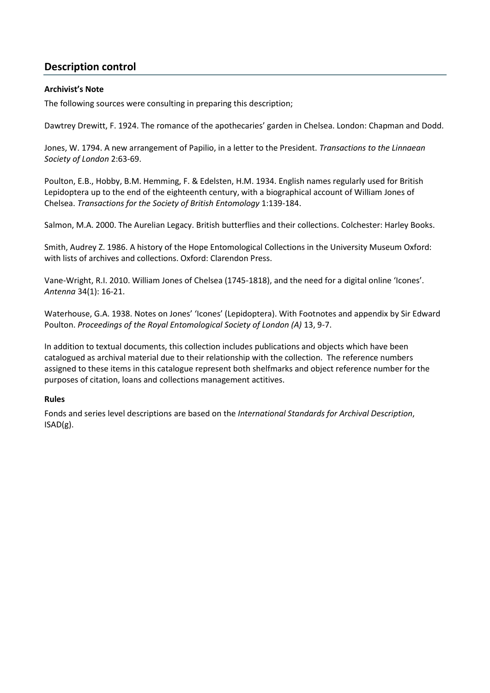# <span id="page-5-0"></span>**Description control**

# <span id="page-5-1"></span>**Archivist's Note**

The following sources were consulting in preparing this description;

Dawtrey Drewitt, F. 1924. The romance of the apothecaries' garden in Chelsea. London: Chapman and Dodd.

Jones, W. 1794. A new arrangement of Papilio, in a letter to the President. *Transactions to the Linnaean Society of London* 2:63-69.

Poulton, E.B., Hobby, B.M. Hemming, F. & Edelsten, H.M. 1934. English names regularly used for British Lepidoptera up to the end of the eighteenth century, with a biographical account of William Jones of Chelsea. *Transactions for the Society of British Entomology* 1:139-184.

Salmon, M.A. 2000. The Aurelian Legacy. British butterflies and their collections. Colchester: Harley Books.

Smith, Audrey Z. 1986. A history of the Hope Entomological Collections in the University Museum Oxford: with lists of archives and collections. Oxford: Clarendon Press.

Vane-Wright, R.I. 2010. William Jones of Chelsea (1745-1818), and the need for a digital online 'Icones'. *Antenna* 34(1): 16-21.

Waterhouse, G.A. 1938. Notes on Jones' 'Icones' (Lepidoptera). With Footnotes and appendix by Sir Edward Poulton. *Proceedings of the Royal Entomological Society of London (A)* 13, 9-7.

In addition to textual documents, this collection includes publications and objects which have been catalogued as archival material due to their relationship with the collection. The reference numbers assigned to these items in this catalogue represent both shelfmarks and object reference number for the purposes of citation, loans and collections management actitives.

# <span id="page-5-2"></span>**Rules**

Fonds and series level descriptions are based on the *International Standards for Archival Description*, ISAD(g).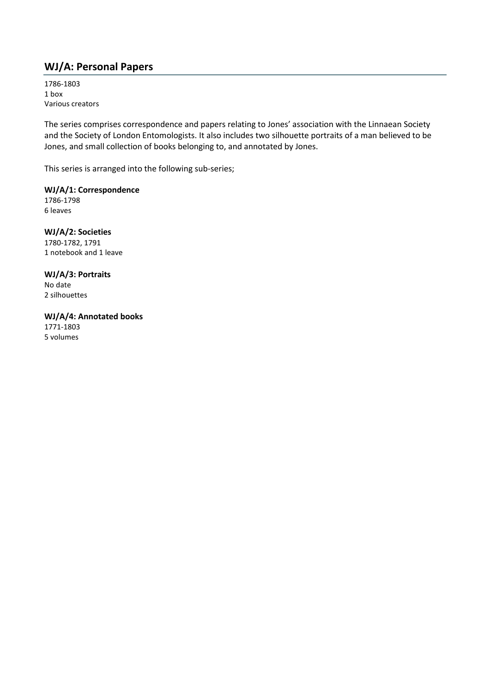# <span id="page-6-0"></span>**WJ/A: Personal Papers**

1786-1803 1 box Various creators

The series comprises correspondence and papers relating to Jones' association with the Linnaean Society and the Society of London Entomologists. It also includes two silhouette portraits of a man believed to be Jones, and small collection of books belonging to, and annotated by Jones.

This series is arranged into the following sub-series;

**WJ/A/1: Correspondence** 1786-1798 6 leaves

**WJ/A/2: Societies** 1780-1782, 1791 1 notebook and 1 leave

**WJ/A/3: Portraits** No date 2 silhouettes

**WJ/A/4: Annotated books** 1771-1803 5 volumes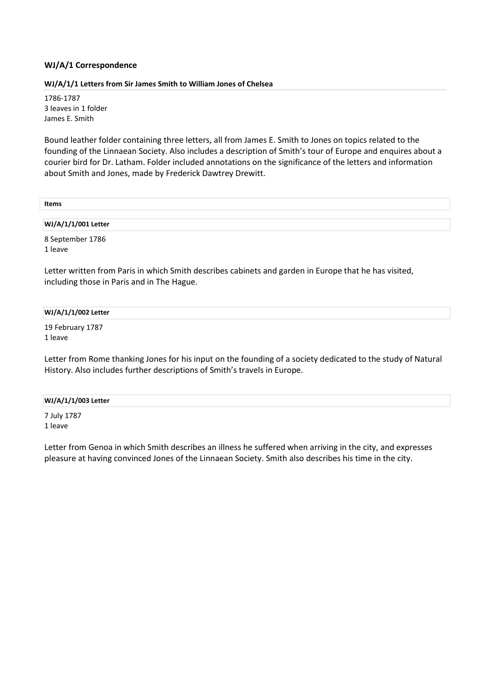# <span id="page-7-0"></span>**WJ/A/1 Correspondence**

# <span id="page-7-1"></span>**WJ/A/1/1 Letters from Sir James Smith to William Jones of Chelsea**

1786-1787 3 leaves in 1 folder James E. Smith

Bound leather folder containing three letters, all from James E. Smith to Jones on topics related to the founding of the Linnaean Society. Also includes a description of Smith's tour of Europe and enquires about a courier bird for Dr. Latham. Folder included annotations on the significance of the letters and information about Smith and Jones, made by Frederick Dawtrey Drewitt.

| <b>Items</b> |  |  |
|--------------|--|--|
|              |  |  |

**WJ/A/1/1/001 Letter**

8 September 1786 1 leave

Letter written from Paris in which Smith describes cabinets and garden in Europe that he has visited, including those in Paris and in The Hague.

#### **WJ/A/1/1/002 Letter**

19 February 1787 1 leave

Letter from Rome thanking Jones for his input on the founding of a society dedicated to the study of Natural History. Also includes further descriptions of Smith's travels in Europe.

#### **WJ/A/1/1/003 Letter**

7 July 1787 1 leave

Letter from Genoa in which Smith describes an illness he suffered when arriving in the city, and expresses pleasure at having convinced Jones of the Linnaean Society. Smith also describes his time in the city.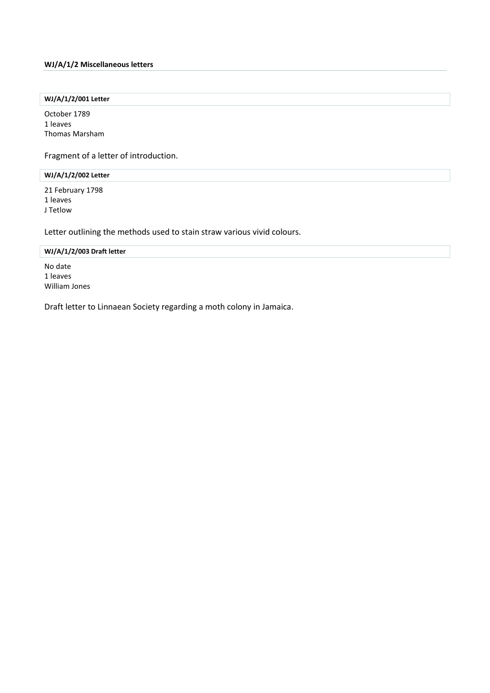#### <span id="page-8-0"></span>**WJ/A/1/2 Miscellaneous letters**

# **WJ/A/1/2/001 Letter**

October 1789 1 leaves Thomas Marsham

Fragment of a letter of introduction.

#### **WJ/A/1/2/002 Letter**

21 February 1798 1 leaves J Tetlow

Letter outlining the methods used to stain straw various vivid colours.

| WJ/A/1/2/003 Draft letter |  |
|---------------------------|--|
| No date                   |  |
| 1 leaves                  |  |
| William Jones             |  |

Draft letter to Linnaean Society regarding a moth colony in Jamaica.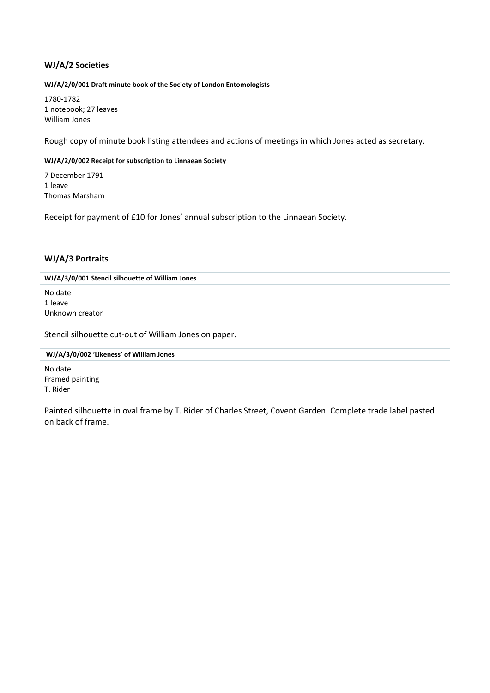# <span id="page-9-0"></span>**WJ/A/2 Societies**

#### **WJ/A/2/0/001 Draft minute book of the Society of London Entomologists**

1780-1782 1 notebook; 27 leaves William Jones

Rough copy of minute book listing attendees and actions of meetings in which Jones acted as secretary.

#### **WJ/A/2/0/002 Receipt for subscription to Linnaean Society**

7 December 1791 1 leave Thomas Marsham

Receipt for payment of £10 for Jones' annual subscription to the Linnaean Society.

# <span id="page-9-1"></span>**WJ/A/3 Portraits**

**WJ/A/3/0/001 Stencil silhouette of William Jones**

No date 1 leave Unknown creator

Stencil silhouette cut-out of William Jones on paper.

#### **WJ/A/3/0/002 'Likeness' of William Jones**

No date Framed painting T. Rider

Painted silhouette in oval frame by T. Rider of Charles Street, Covent Garden. Complete trade label pasted on back of frame.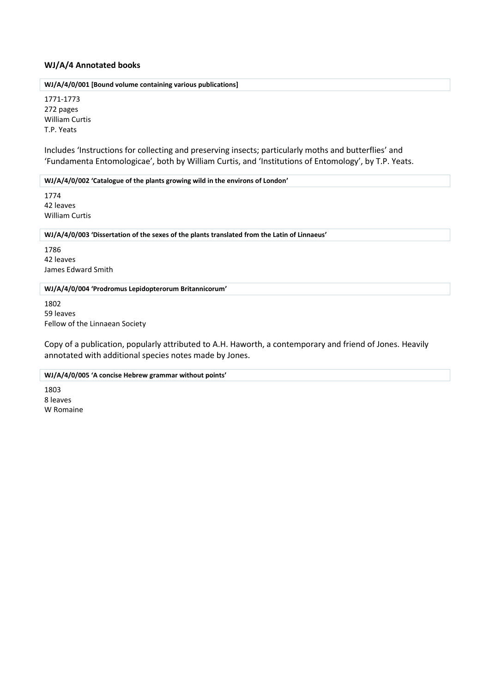## <span id="page-10-0"></span>**WJ/A/4 Annotated books**

**WJ/A/4/0/001 [Bound volume containing various publications]**

1771-1773 272 pages William Curtis T.P. Yeats

Includes 'Instructions for collecting and preserving insects; particularly moths and butterflies' and 'Fundamenta Entomologicae', both by William Curtis, and 'Institutions of Entomology', by T.P. Yeats.

**WJ/A/4/0/002 'Catalogue of the plants growing wild in the environs of London'**

1774 42 leaves William Curtis

**WJ/A/4/0/003 'Dissertation of the sexes of the plants translated from the Latin of Linnaeus'**

1786 42 leaves James Edward Smith

#### **WJ/A/4/0/004 'Prodromus Lepidopterorum Britannicorum'**

1802 59 leaves Fellow of the Linnaean Society

Copy of a publication, popularly attributed to A.H. Haworth, a contemporary and friend of Jones. Heavily annotated with additional species notes made by Jones.

**WJ/A/4/0/005 'A concise Hebrew grammar without points'**

1803 8 leaves W Romaine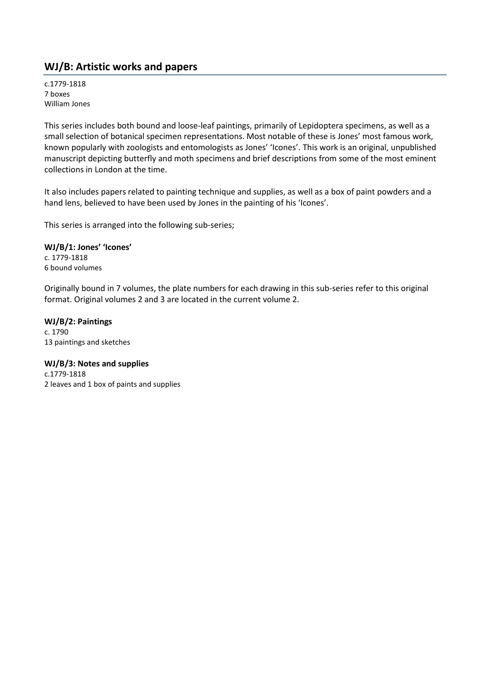# <span id="page-11-0"></span>**WJ/B: Artistic works and papers**

c.1779-1818 7 boxes William Jones

This series includes both bound and loose-leaf paintings, primarily of Lepidoptera specimens, as well as a small selection of botanical specimen representations. Most notable of these is Jones' most famous work, known popularly with zoologists and entomologists as Jones' 'Icones'. This work is an original, unpublished manuscript depicting butterfly and moth specimens and brief descriptions from some of the most eminent collections in London at the time.

It also includes papers related to painting technique and supplies, as well as a box of paint powders and a hand lens, believed to have been used by Jones in the painting of his 'Icones'.

This series is arranged into the following sub-series;

# **WJ/B/1: Jones' 'Icones'**

c. 1779-1818 6 bound volumes

Originally bound in 7 volumes, the plate numbers for each drawing in this sub-series refer to this original format. Original volumes 2 and 3 are located in the current volume 2.

**WJ/B/2: Paintings** c. 1790 13 paintings and sketches

**WJ/B/3: Notes and supplies** c.1779-1818 2 leaves and 1 box of paints and supplies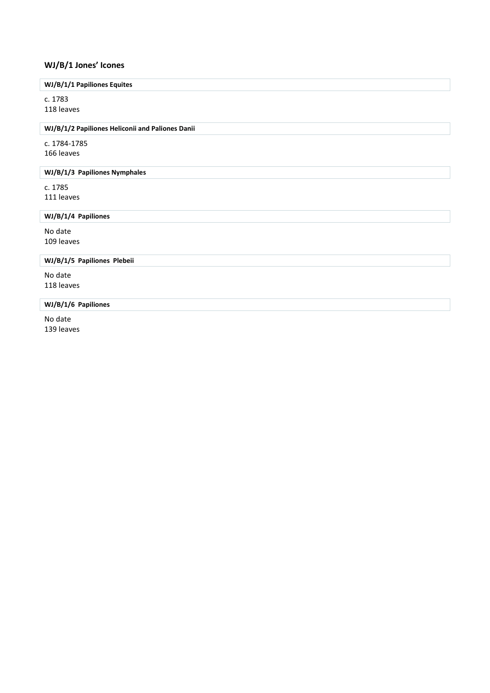# <span id="page-12-0"></span>**WJ/B/1 Jones' Icones**

# **WJ/B/1/1 Papiliones Equites**

c. 1783 118 leaves

#### **WJ/B/1/2 Papiliones Heliconii and Paliones Danii**

c. 1784-1785 166 leaves

# **WJ/B/1/3 Papiliones Nymphales**

c. 1785 111 leaves

# **WJ/B/1/4 Papiliones**

No date 109 leaves

# **WJ/B/1/5 Papiliones Plebeii**

No date 118 leaves

# **WJ/B/1/6 Papiliones**

No date 139 leaves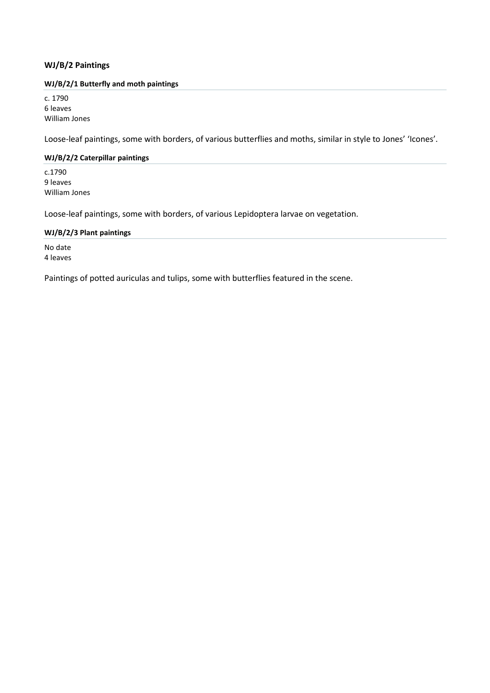# <span id="page-13-0"></span>**WJ/B/2 Paintings**

#### <span id="page-13-1"></span>**WJ/B/2/1 Butterfly and moth paintings**

c. 1790 6 leaves William Jones

Loose-leaf paintings, some with borders, of various butterflies and moths, similar in style to Jones' 'Icones'.

# <span id="page-13-2"></span>**WJ/B/2/2 Caterpillar paintings**

c.1790 9 leaves William Jones

Loose-leaf paintings, some with borders, of various Lepidoptera larvae on vegetation.

#### <span id="page-13-3"></span>**WJ/B/2/3 Plant paintings**

No date 4 leaves

Paintings of potted auriculas and tulips, some with butterflies featured in the scene.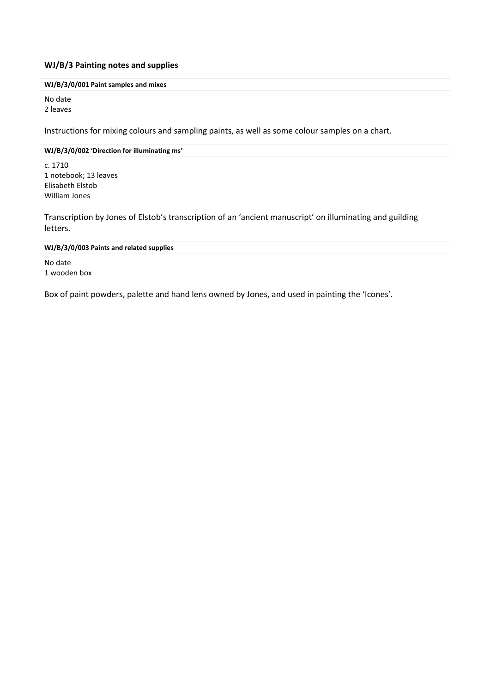# <span id="page-14-0"></span>**WJ/B/3 Painting notes and supplies**

# **WJ/B/3/0/001 Paint samples and mixes**

No date 2 leaves

Instructions for mixing colours and sampling paints, as well as some colour samples on a chart.

#### **WJ/B/3/0/002 'Direction for illuminating ms'**

c. 1710 1 notebook; 13 leaves Elisabeth Elstob William Jones

Transcription by Jones of Elstob's transcription of an 'ancient manuscript' on illuminating and guilding letters.

#### **WJ/B/3/0/003 Paints and related supplies**

No date 1 wooden box

Box of paint powders, palette and hand lens owned by Jones, and used in painting the 'Icones'.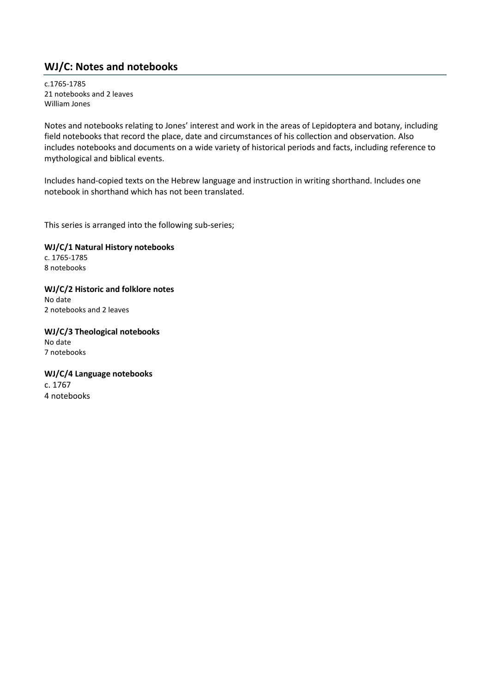# <span id="page-15-0"></span>**WJ/C: Notes and notebooks**

c.1765-1785 21 notebooks and 2 leaves William Jones

Notes and notebooks relating to Jones' interest and work in the areas of Lepidoptera and botany, including field notebooks that record the place, date and circumstances of his collection and observation. Also includes notebooks and documents on a wide variety of historical periods and facts, including reference to mythological and biblical events.

Includes hand-copied texts on the Hebrew language and instruction in writing shorthand. Includes one notebook in shorthand which has not been translated.

This series is arranged into the following sub-series;

**WJ/C/1 Natural History notebooks** c. 1765-1785 8 notebooks

**WJ/C/2 Historic and folklore notes** No date 2 notebooks and 2 leaves

**WJ/C/3 Theological notebooks** No date 7 notebooks

**WJ/C/4 Language notebooks** c. 1767 4 notebooks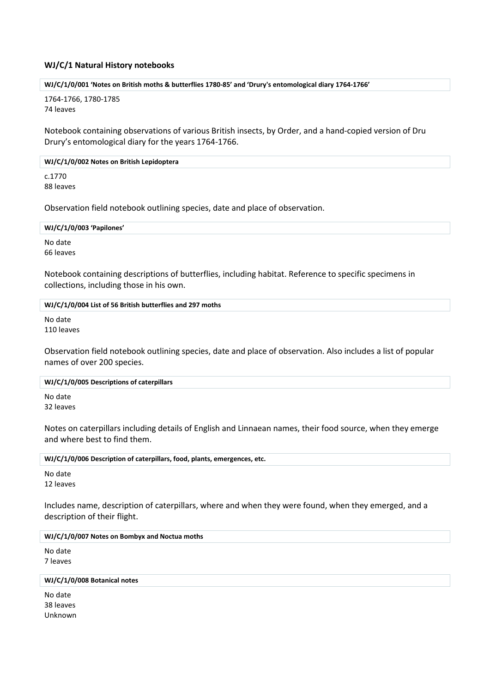# <span id="page-16-0"></span>**WJ/C/1 Natural History notebooks**

#### **WJ/C/1/0/001 'Notes on British moths & butterflies 1780-85' and 'Drury's entomological diary 1764-1766'**

1764-1766, 1780-1785 74 leaves

Notebook containing observations of various British insects, by Order, and a hand-copied version of Dru Drury's entomological diary for the years 1764-1766.

#### **WJ/C/1/0/002 Notes on British Lepidoptera**

c.1770 88 leaves

Observation field notebook outlining species, date and place of observation.

**WJ/C/1/0/003 'Papilones'**

No date 66 leaves

Notebook containing descriptions of butterflies, including habitat. Reference to specific specimens in collections, including those in his own.

#### **WJ/C/1/0/004 List of 56 British butterflies and 297 moths**

No date 110 leaves

Observation field notebook outlining species, date and place of observation. Also includes a list of popular names of over 200 species.

#### **WJ/C/1/0/005 Descriptions of caterpillars**

No date 32 leaves

Notes on caterpillars including details of English and Linnaean names, their food source, when they emerge and where best to find them.

**WJ/C/1/0/006 Description of caterpillars, food, plants, emergences, etc.**

No date 12 leaves

Includes name, description of caterpillars, where and when they were found, when they emerged, and a description of their flight.

## **WJ/C/1/0/007 Notes on Bombyx and Noctua moths**

No date 7 leaves

#### **WJ/C/1/0/008 Botanical notes**

No date 38 leaves Unknown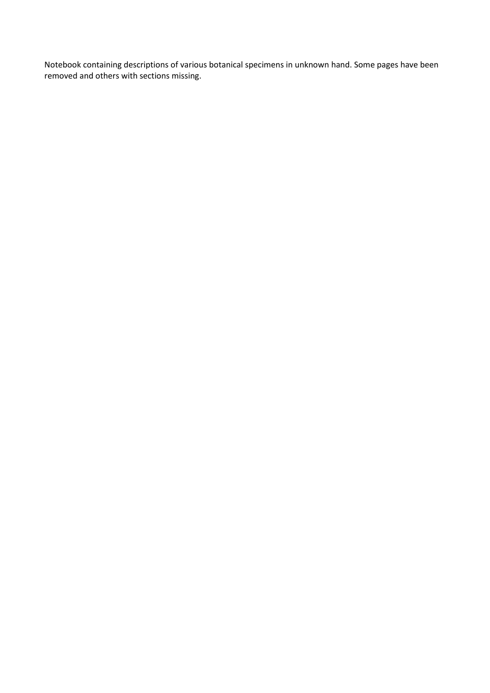Notebook containing descriptions of various botanical specimens in unknown hand. Some pages have been removed and others with sections missing.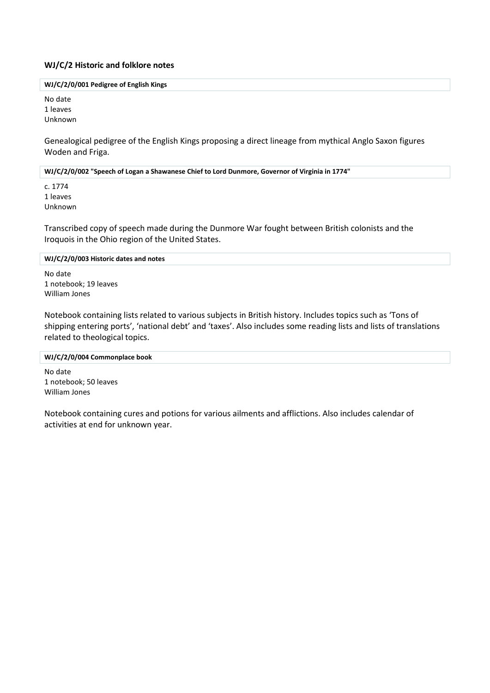## <span id="page-18-0"></span>**WJ/C/2 Historic and folklore notes**

#### **WJ/C/2/0/001 Pedigree of English Kings**

No date 1 leaves Unknown

Genealogical pedigree of the English Kings proposing a direct lineage from mythical Anglo Saxon figures Woden and Friga.

**WJ/C/2/0/002 "Speech of Logan a Shawanese Chief to Lord Dunmore, Governor of Virginia in 1774"**

c. 1774 1 leaves Unknown

Transcribed copy of speech made during the Dunmore War fought between British colonists and the Iroquois in the Ohio region of the United States.

## **WJ/C/2/0/003 Historic dates and notes**

No date 1 notebook; 19 leaves William Jones

Notebook containing lists related to various subjects in British history. Includes topics such as 'Tons of shipping entering ports', 'national debt' and 'taxes'. Also includes some reading lists and lists of translations related to theological topics.

#### **WJ/C/2/0/004 Commonplace book**

No date 1 notebook; 50 leaves William Jones

Notebook containing cures and potions for various ailments and afflictions. Also includes calendar of activities at end for unknown year.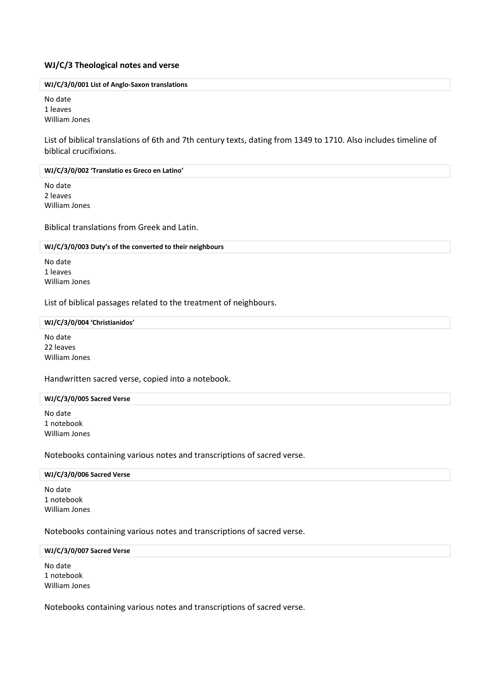#### <span id="page-19-0"></span>**WJ/C/3 Theological notes and verse**

#### **WJ/C/3/0/001 List of Anglo-Saxon translations**

No date 1 leaves William Jones

List of biblical translations of 6th and 7th century texts, dating from 1349 to 1710. Also includes timeline of biblical crucifixions.

#### **WJ/C/3/0/002 'Translatio es Greco en Latino'**

No date 2 leaves William Jones

Biblical translations from Greek and Latin.

#### **WJ/C/3/0/003 Duty's of the converted to their neighbours**

No date 1 leaves William Jones

List of biblical passages related to the treatment of neighbours.

#### **WJ/C/3/0/004 'Christianidos'**

No date 22 leaves William Jones

Handwritten sacred verse, copied into a notebook.

#### **WJ/C/3/0/005 Sacred Verse**

No date 1 notebook William Jones

#### Notebooks containing various notes and transcriptions of sacred verse.

#### **WJ/C/3/0/006 Sacred Verse**

No date 1 notebook William Jones

Notebooks containing various notes and transcriptions of sacred verse.

#### **WJ/C/3/0/007 Sacred Verse**

No date 1 notebook William Jones

Notebooks containing various notes and transcriptions of sacred verse.